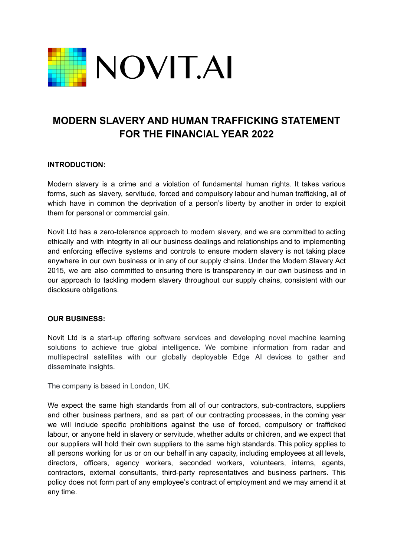

# **MODERN SLAVERY AND HUMAN TRAFFICKING STATEMENT FOR THE FINANCIAL YEAR 2022**

## **INTRODUCTION:**

Modern slavery is a crime and a violation of fundamental human rights. It takes various forms, such as slavery, servitude, forced and compulsory labour and human trafficking, all of which have in common the deprivation of a person's liberty by another in order to exploit them for personal or commercial gain.

Novit Ltd has a zero-tolerance approach to modern slavery, and we are committed to acting ethically and with integrity in all our business dealings and relationships and to implementing and enforcing effective systems and controls to ensure modern slavery is not taking place anywhere in our own business or in any of our supply chains. Under the Modern Slavery Act 2015, we are also committed to ensuring there is transparency in our own business and in our approach to tackling modern slavery throughout our supply chains, consistent with our disclosure obligations.

#### **OUR BUSINESS:**

Novit Ltd is a start-up offering software services and developing novel machine learning solutions to achieve true global intelligence. We combine information from radar and multispectral satellites with our globally deployable Edge AI devices to gather and disseminate insights.

The company is based in London, UK.

We expect the same high standards from all of our contractors, sub-contractors, suppliers and other business partners, and as part of our contracting processes, in the coming year we will include specific prohibitions against the use of forced, compulsory or trafficked labour, or anyone held in slavery or servitude, whether adults or children, and we expect that our suppliers will hold their own suppliers to the same high standards. This policy applies to all persons working for us or on our behalf in any capacity, including employees at all levels, directors, officers, agency workers, seconded workers, volunteers, interns, agents, contractors, external consultants, third-party representatives and business partners. This policy does not form part of any employee's contract of employment and we may amend it at any time.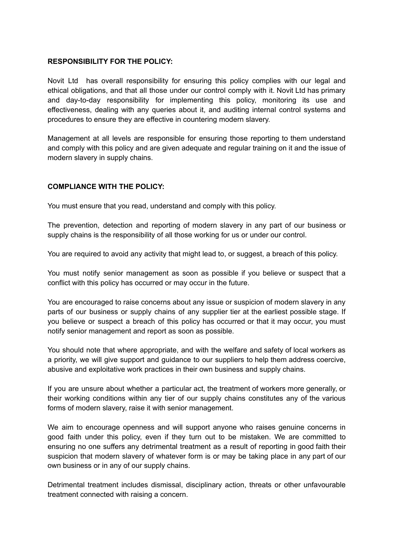#### **RESPONSIBILITY FOR THE POLICY:**

Novit Ltd has overall responsibility for ensuring this policy complies with our legal and ethical obligations, and that all those under our control comply with it. Novit Ltd has primary and day-to-day responsibility for implementing this policy, monitoring its use and effectiveness, dealing with any queries about it, and auditing internal control systems and procedures to ensure they are effective in countering modern slavery.

Management at all levels are responsible for ensuring those reporting to them understand and comply with this policy and are given adequate and regular training on it and the issue of modern slavery in supply chains.

# **COMPLIANCE WITH THE POLICY:**

You must ensure that you read, understand and comply with this policy.

The prevention, detection and reporting of modern slavery in any part of our business or supply chains is the responsibility of all those working for us or under our control.

You are required to avoid any activity that might lead to, or suggest, a breach of this policy.

You must notify senior management as soon as possible if you believe or suspect that a conflict with this policy has occurred or may occur in the future.

You are encouraged to raise concerns about any issue or suspicion of modern slavery in any parts of our business or supply chains of any supplier tier at the earliest possible stage. If you believe or suspect a breach of this policy has occurred or that it may occur, you must notify senior management and report as soon as possible.

You should note that where appropriate, and with the welfare and safety of local workers as a priority, we will give support and guidance to our suppliers to help them address coercive, abusive and exploitative work practices in their own business and supply chains.

If you are unsure about whether a particular act, the treatment of workers more generally, or their working conditions within any tier of our supply chains constitutes any of the various forms of modern slavery, raise it with senior management.

We aim to encourage openness and will support anyone who raises genuine concerns in good faith under this policy, even if they turn out to be mistaken. We are committed to ensuring no one suffers any detrimental treatment as a result of reporting in good faith their suspicion that modern slavery of whatever form is or may be taking place in any part of our own business or in any of our supply chains.

Detrimental treatment includes dismissal, disciplinary action, threats or other unfavourable treatment connected with raising a concern.